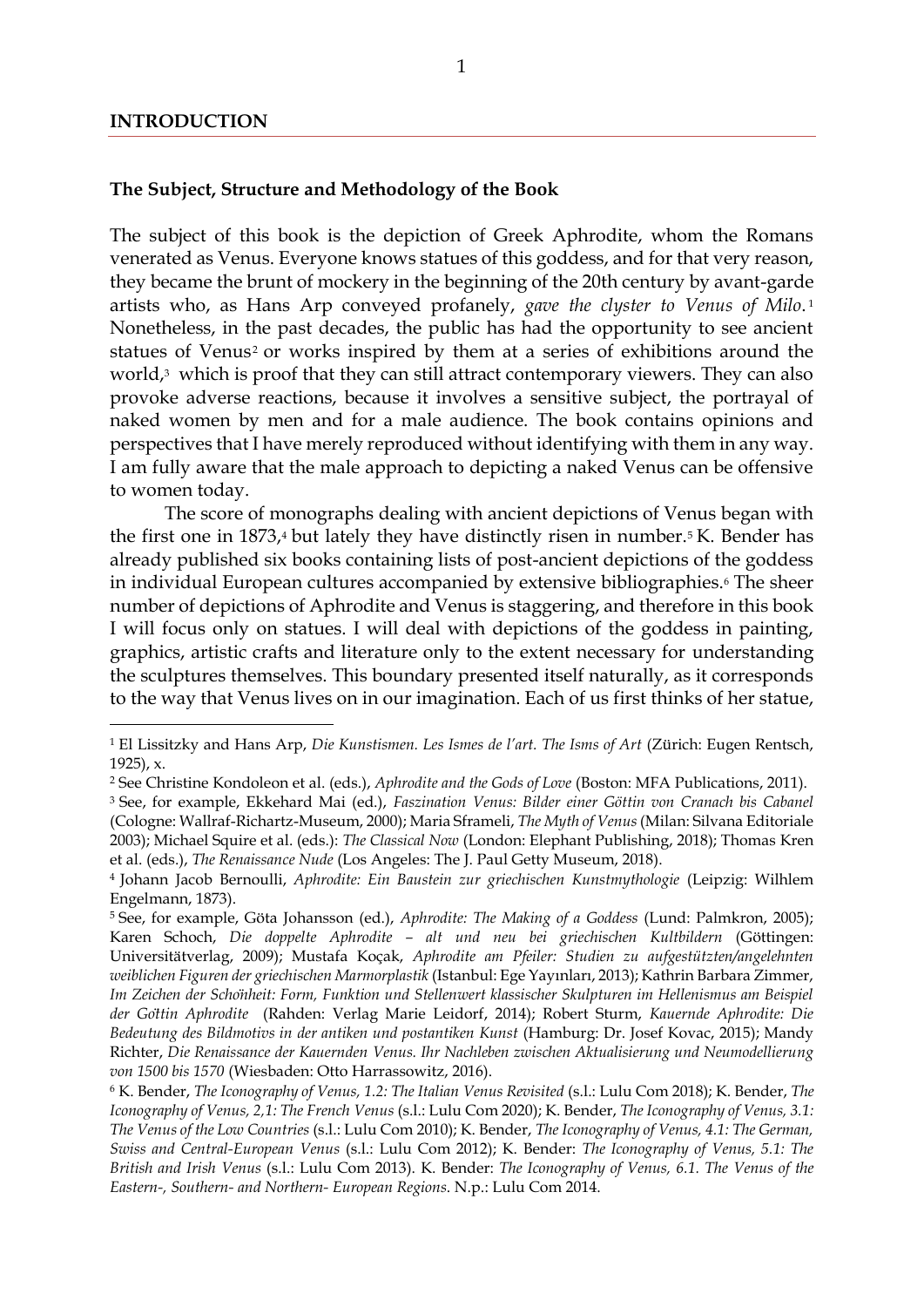## **The Subject, Structure and Methodology of the Book**

The subject of this book is the depiction of Greek Aphrodite, whom the Romans venerated as Venus. Everyone knows statues of this goddess, and for that very reason, they became the brunt of mockery in the beginning of the 20th century by avant-garde artists who, as Hans Arp conveyed profanely, *gave the clyster to Venus of Milo*. 1 Nonetheless, in the past decades, the public has had the opportunity to see ancient statues of Venus<sup>2</sup> or works inspired by them at a series of exhibitions around the world,<sup>3</sup> which is proof that they can still attract contemporary viewers. They can also provoke adverse reactions, because it involves a sensitive subject, the portrayal of naked women by men and for a male audience. The book contains opinions and perspectives that I have merely reproduced without identifying with them in any way. I am fully aware that the male approach to depicting a naked Venus can be offensive to women today.

The score of monographs dealing with ancient depictions of Venus began with the first one in  $1873<sub>1</sub>$  but lately they have distinctly risen in number.<sup>5</sup> K. Bender has already published six books containing lists of post-ancient depictions of the goddess in individual European cultures accompanied by extensive bibliographies.<sup>6</sup> The sheer number of depictions of Aphrodite and Venus is staggering, and therefore in this book I will focus only on statues. I will deal with depictions of the goddess in painting, graphics, artistic crafts and literature only to the extent necessary for understanding the sculptures themselves. This boundary presented itself naturally, as it corresponds to the way that Venus lives on in our imagination. Each of us first thinks of her statue,

<sup>1</sup> El Lissitzky and Hans Arp, *Die Kunstismen. Les Ismes de l'art. The Isms of Art* (Zürich: Eugen Rentsch, 1925), x.

<sup>2</sup> See Christine Kondoleon et al. (eds.), *Aphrodite and the Gods of Love* (Boston: MFA Publications, 2011).

<sup>3</sup> See, for example, Ekkehard Mai (ed.), *Faszination Venus: Bilder einer Göttin von Cranach bis Cabanel* (Cologne: Wallraf-Richartz-Museum, 2000); Maria Sframeli, *The Myth of Venus*(Milan: Silvana Editoriale 2003); Michael Squire et al. (eds.): *The Classical Now* (London: Elephant Publishing, 2018); Thomas Kren et al. (eds.), *The Renaissance Nude* (Los Angeles: The J. Paul Getty Museum, 2018).

<sup>4</sup> Johann Jacob Bernoulli, *Aphrodite: Ein Baustein zur griechischen Kunstmythologie* (Leipzig: Wilhlem Engelmann, 1873).

<sup>5</sup> See, for example, Göta Johansson (ed.), *Aphrodite: The Making of a Goddess* (Lund: Palmkron, 2005); Karen Schoch, *Die doppelte Aphrodite – alt und neu bei griechischen Kultbildern* (Göttingen: Universitätverlag, 2009); Mustafa Koçak, *Aphrodite am Pfeiler: Studien zu aufgestützten/angelehnten weiblichen Figuren der griechischen Marmorplastik* (Istanbul: Ege Yayınları, 2013); Kathrin Barbara Zimmer, *Im Zeichen der Schönheit: Form, Funktion und Stellenwert klassischer Skulpturen im Hellenismus am Beispiel der Göttin Aphrodite* (Rahden: Verlag Marie Leidorf, 2014); Robert Sturm, *Kauernde Aphrodite: Die Bedeutung des Bildmotivs in der antiken und postantiken Kunst* (Hamburg: Dr. Josef Kovac, 2015); Mandy Richter, *Die Renaissance der Kauernden Venus. Ihr Nachleben zwischen Aktualisierung und Neumodellierung von 1500 bis 1570* (Wiesbaden: Otto Harrassowitz, 2016).

<sup>6</sup> K. Bender, *The Iconography of Venus, 1.2: The Italian Venus Revisited* (s.l.: Lulu Com 2018); K. Bender, *The Iconography of Venus, 2,1: The French Venus* (s.l.: Lulu Com 2020); K. Bender, *The Iconography of Venus, 3.1: The Venus of the Low Countries* (s.l.: Lulu Com 2010); K. Bender, *The Iconography of Venus, 4.1: The German, Swiss and Central-European Venus* (s.l.: Lulu Com 2012); K. Bender: *The Iconography of Venus, 5.1: The British and Irish Venus* (s.l.: Lulu Com 2013). K. Bender: *The Iconography of Venus, 6.1. The Venus of the Eastern-, Southern- and Northern- European Regions*. N.p.: Lulu Com 2014.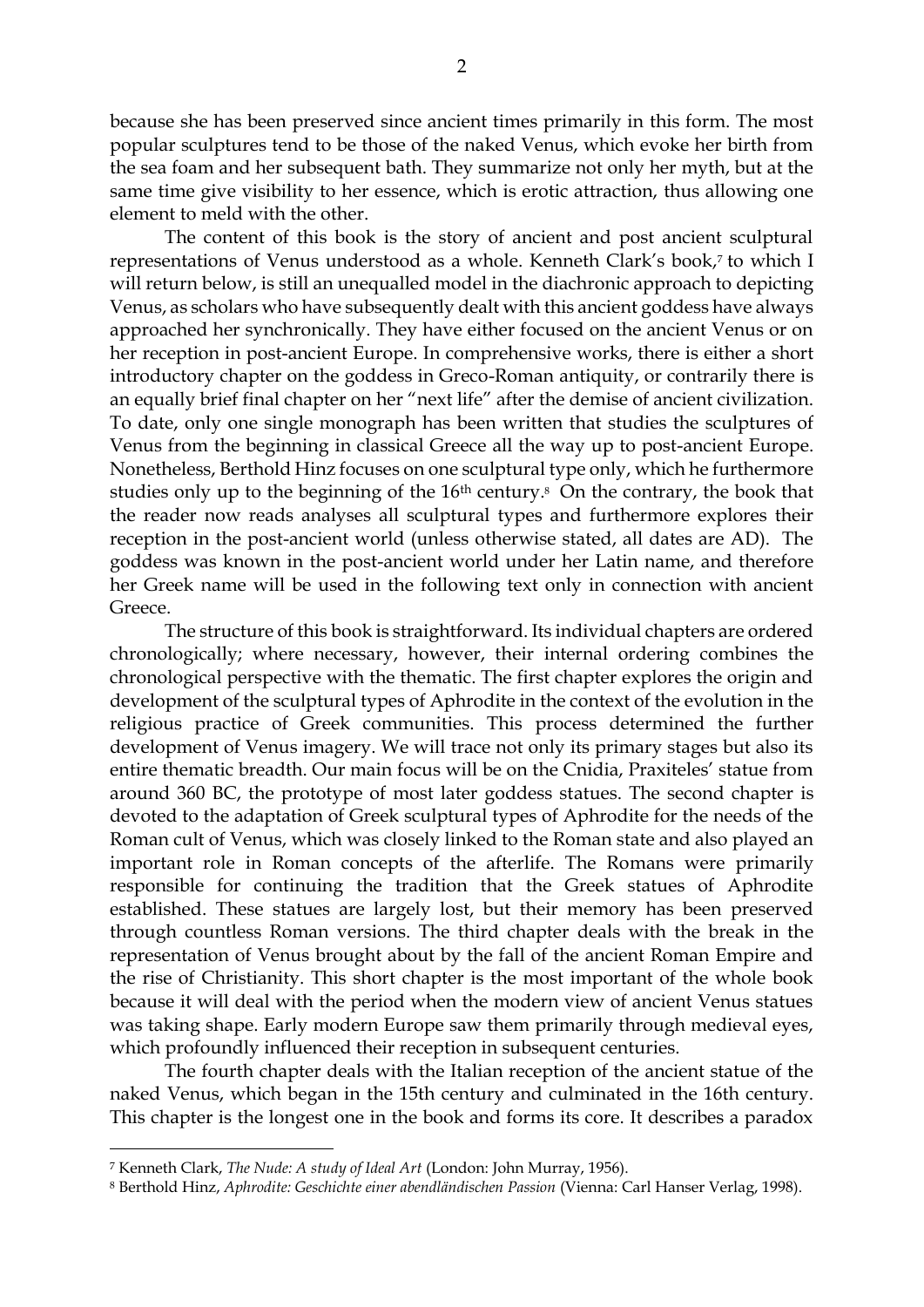because she has been preserved since ancient times primarily in this form. The most popular sculptures tend to be those of the naked Venus, which evoke her birth from the sea foam and her subsequent bath. They summarize not only her myth, but at the same time give visibility to her essence, which is erotic attraction, thus allowing one element to meld with the other.

The content of this book is the story of ancient and post ancient sculptural representations of Venus understood as a whole. Kenneth Clark's book,<sup>7</sup> to which I will return below, is still an unequalled model in the diachronic approach to depicting Venus, as scholars who have subsequently dealt with this ancient goddess have always approached her synchronically. They have either focused on the ancient Venus or on her reception in post-ancient Europe. In comprehensive works, there is either a short introductory chapter on the goddess in Greco-Roman antiquity, or contrarily there is an equally brief final chapter on her "next life" after the demise of ancient civilization. To date, only one single monograph has been written that studies the sculptures of Venus from the beginning in classical Greece all the way up to post-ancient Europe. Nonetheless, Berthold Hinz focuses on one sculptural type only, which he furthermore studies only up to the beginning of the  $16<sup>th</sup>$  century.<sup>8</sup> On the contrary, the book that the reader now reads analyses all sculptural types and furthermore explores their reception in the post-ancient world (unless otherwise stated, all dates are AD). The goddess was known in the post-ancient world under her Latin name, and therefore her Greek name will be used in the following text only in connection with ancient Greece.

The structure of this book is straightforward. Its individual chapters are ordered chronologically; where necessary, however, their internal ordering combines the chronological perspective with the thematic. The first chapter explores the origin and development of the sculptural types of Aphrodite in the context of the evolution in the religious practice of Greek communities. This process determined the further development of Venus imagery. We will trace not only its primary stages but also its entire thematic breadth. Our main focus will be on the Cnidia, Praxiteles' statue from around 360 BC, the prototype of most later goddess statues. The second chapter is devoted to the adaptation of Greek sculptural types of Aphrodite for the needs of the Roman cult of Venus, which was closely linked to the Roman state and also played an important role in Roman concepts of the afterlife. The Romans were primarily responsible for continuing the tradition that the Greek statues of Aphrodite established. These statues are largely lost, but their memory has been preserved through countless Roman versions. The third chapter deals with the break in the representation of Venus brought about by the fall of the ancient Roman Empire and the rise of Christianity. This short chapter is the most important of the whole book because it will deal with the period when the modern view of ancient Venus statues was taking shape. Early modern Europe saw them primarily through medieval eyes, which profoundly influenced their reception in subsequent centuries.

The fourth chapter deals with the Italian reception of the ancient statue of the naked Venus, which began in the 15th century and culminated in the 16th century. This chapter is the longest one in the book and forms its core. It describes a paradox

<sup>7</sup> Kenneth Clark, *The Nude: A study of Ideal Art* (London: John Murray, 1956).

<sup>8</sup> Berthold Hinz, *Aphrodite: Geschichte einer abendländischen Passion* (Vienna: Carl Hanser Verlag, 1998).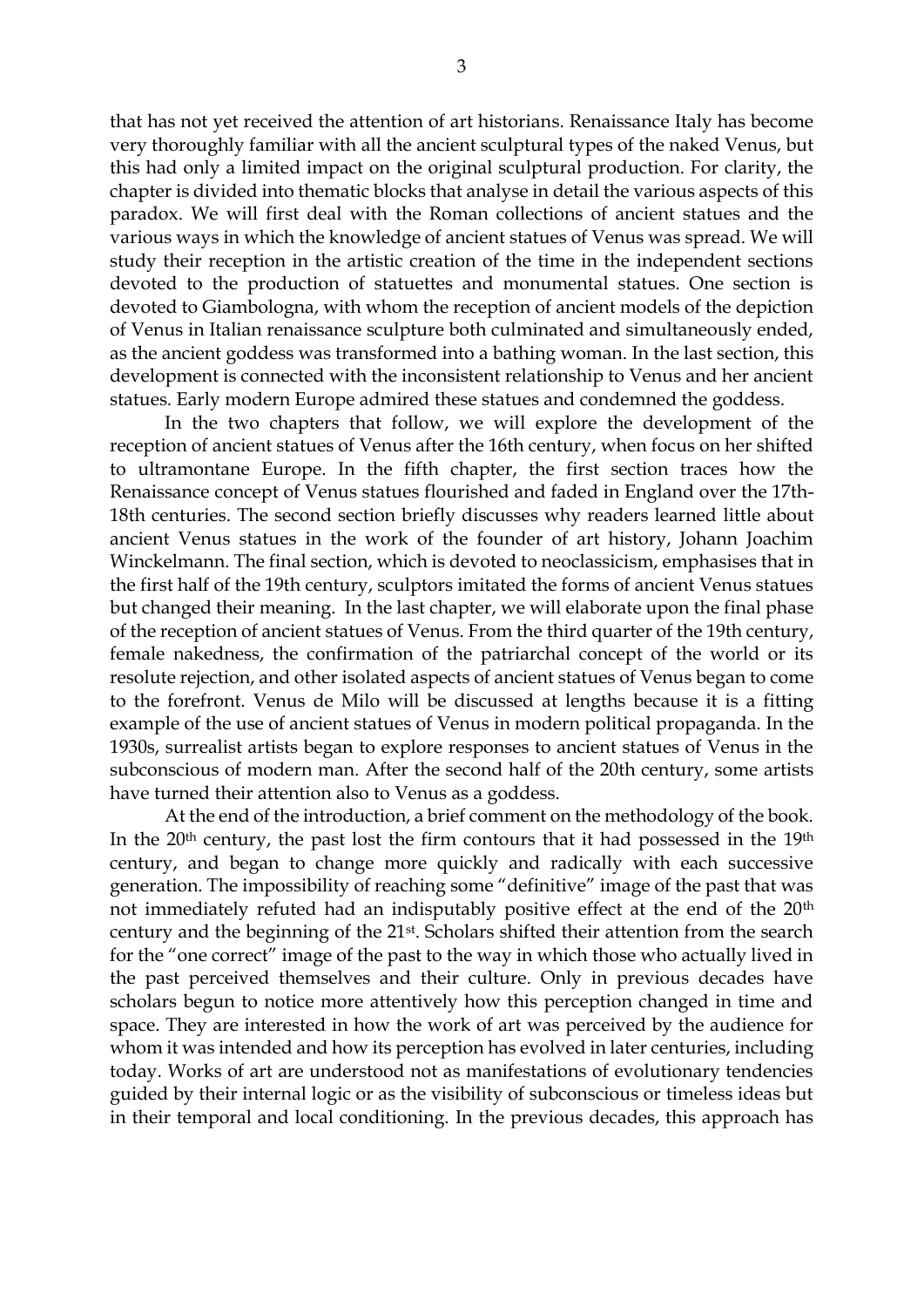that has not yet received the attention of art historians. Renaissance Italy has become very thoroughly familiar with all the ancient sculptural types of the naked Venus, but this had only a limited impact on the original sculptural production. For clarity, the chapter is divided into thematic blocks that analyse in detail the various aspects of this paradox. We will first deal with the Roman collections of ancient statues and the various ways in which the knowledge of ancient statues of Venus was spread. We will study their reception in the artistic creation of the time in the independent sections devoted to the production of statuettes and monumental statues. One section is devoted to Giambologna, with whom the reception of ancient models of the depiction of Venus in Italian renaissance sculpture both culminated and simultaneously ended, as the ancient goddess was transformed into a bathing woman. In the last section, this development is connected with the inconsistent relationship to Venus and her ancient statues. Early modern Europe admired these statues and condemned the goddess.

In the two chapters that follow, we will explore the development of the reception of ancient statues of Venus after the 16th century, when focus on her shifted to ultramontane Europe. In the fifth chapter, the first section traces how the Renaissance concept of Venus statues flourished and faded in England over the 17th-18th centuries. The second section briefly discusses why readers learned little about ancient Venus statues in the work of the founder of art history, Johann Joachim Winckelmann. The final section, which is devoted to neoclassicism, emphasises that in the first half of the 19th century, sculptors imitated the forms of ancient Venus statues but changed their meaning. In the last chapter, we will elaborate upon the final phase of the reception of ancient statues of Venus. From the third quarter of the 19th century, female nakedness, the confirmation of the patriarchal concept of the world or its resolute rejection, and other isolated aspects of ancient statues of Venus began to come to the forefront. Venus de Milo will be discussed at lengths because it is a fitting example of the use of ancient statues of Venus in modern political propaganda. In the 1930s, surrealist artists began to explore responses to ancient statues of Venus in the subconscious of modern man. After the second half of the 20th century, some artists have turned their attention also to Venus as a goddess.

At the end of the introduction, a brief comment on the methodology of the book. In the  $20<sup>th</sup>$  century, the past lost the firm contours that it had possessed in the  $19<sup>th</sup>$ century, and began to change more quickly and radically with each successive generation. The impossibility of reaching some "definitive" image of the past that was not immediately refuted had an indisputably positive effect at the end of the 20th century and the beginning of the 21st. Scholars shifted their attention from the search for the "one correct" image of the past to the way in which those who actually lived in the past perceived themselves and their culture. Only in previous decades have scholars begun to notice more attentively how this perception changed in time and space. They are interested in how the work of art was perceived by the audience for whom it was intended and how its perception has evolved in later centuries, including today. Works of art are understood not as manifestations of evolutionary tendencies guided by their internal logic or as the visibility of subconscious or timeless ideas but in their temporal and local conditioning. In the previous decades, this approach has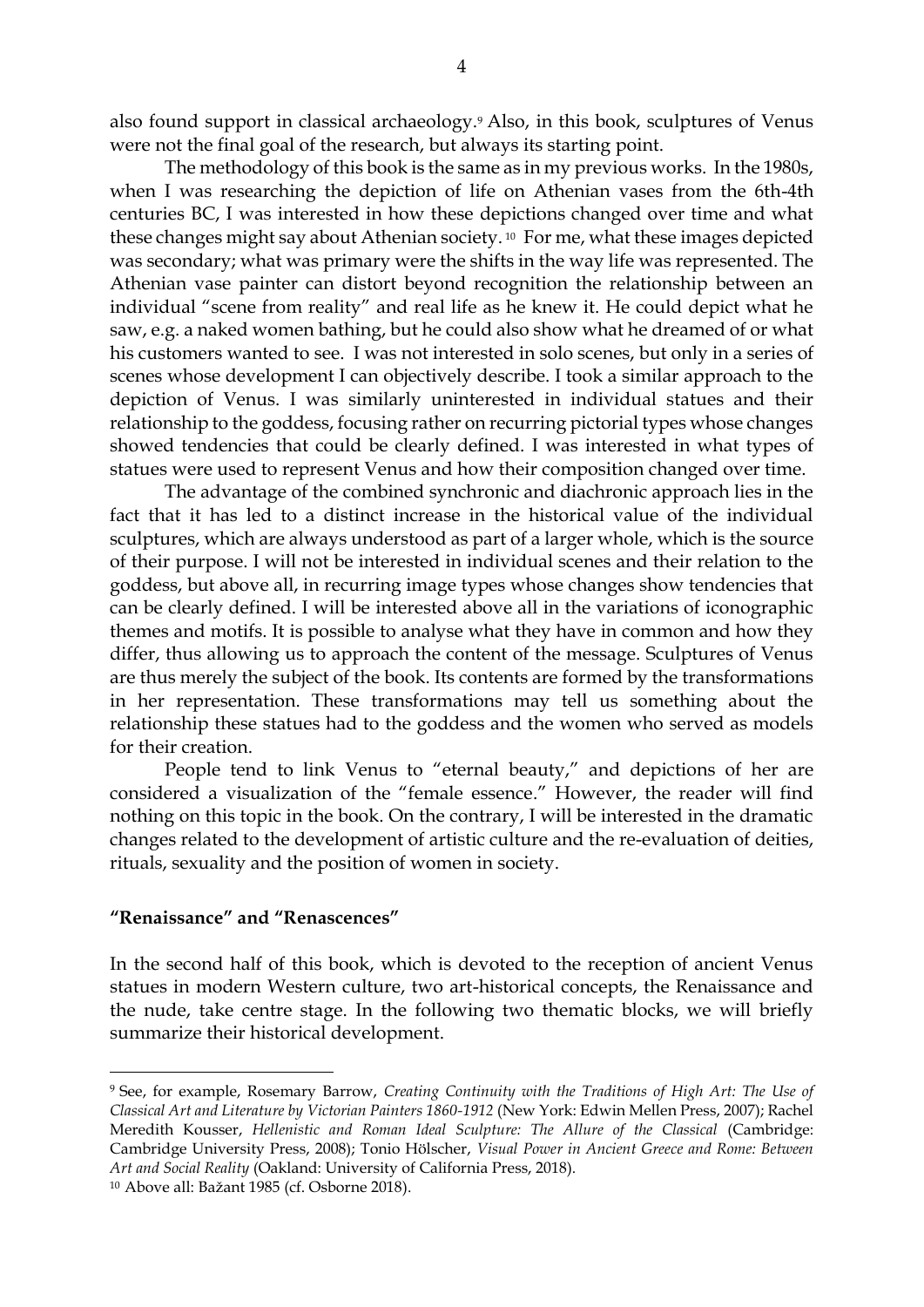also found support in classical archaeology.<sup>9</sup> Also, in this book, sculptures of Venus were not the final goal of the research, but always its starting point.

The methodology of this book is the same as in my previous works. In the 1980s, when I was researching the depiction of life on Athenian vases from the 6th-4th centuries BC, I was interested in how these depictions changed over time and what these changes might say about Athenian society. <sup>10</sup> For me, what these images depicted was secondary; what was primary were the shifts in the way life was represented. The Athenian vase painter can distort beyond recognition the relationship between an individual "scene from reality" and real life as he knew it. He could depict what he saw, e.g. a naked women bathing, but he could also show what he dreamed of or what his customers wanted to see. I was not interested in solo scenes, but only in a series of scenes whose development I can objectively describe. I took a similar approach to the depiction of Venus. I was similarly uninterested in individual statues and their relationship to the goddess, focusing rather on recurring pictorial types whose changes showed tendencies that could be clearly defined. I was interested in what types of statues were used to represent Venus and how their composition changed over time.

The advantage of the combined synchronic and diachronic approach lies in the fact that it has led to a distinct increase in the historical value of the individual sculptures, which are always understood as part of a larger whole, which is the source of their purpose. I will not be interested in individual scenes and their relation to the goddess, but above all, in recurring image types whose changes show tendencies that can be clearly defined. I will be interested above all in the variations of iconographic themes and motifs. It is possible to analyse what they have in common and how they differ, thus allowing us to approach the content of the message. Sculptures of Venus are thus merely the subject of the book. Its contents are formed by the transformations in her representation. These transformations may tell us something about the relationship these statues had to the goddess and the women who served as models for their creation.

People tend to link Venus to "eternal beauty," and depictions of her are considered a visualization of the "female essence." However, the reader will find nothing on this topic in the book. On the contrary, I will be interested in the dramatic changes related to the development of artistic culture and the re-evaluation of deities, rituals, sexuality and the position of women in society.

## **"Renaissance" and "Renascences"**

In the second half of this book, which is devoted to the reception of ancient Venus statues in modern Western culture, two art-historical concepts, the Renaissance and the nude, take centre stage. In the following two thematic blocks, we will briefly summarize their historical development.

<sup>9</sup> See, for example, Rosemary Barrow, *Creating Continuity with the Traditions of High Art: The Use of Classical Art and Literature by Victorian Painters 1860-1912* (New York: Edwin Mellen Press, 2007); Rachel Meredith Kousser, *Hellenistic and Roman Ideal Sculpture: The Allure of the Classical* (Cambridge: Cambridge University Press, 2008); Tonio Hölscher, *Visual Power in Ancient Greece and Rome: Between Art and Social Reality* (Oakland: University of California Press, 2018).

<sup>10</sup> Above all: Bažant 1985 (cf. Osborne 2018).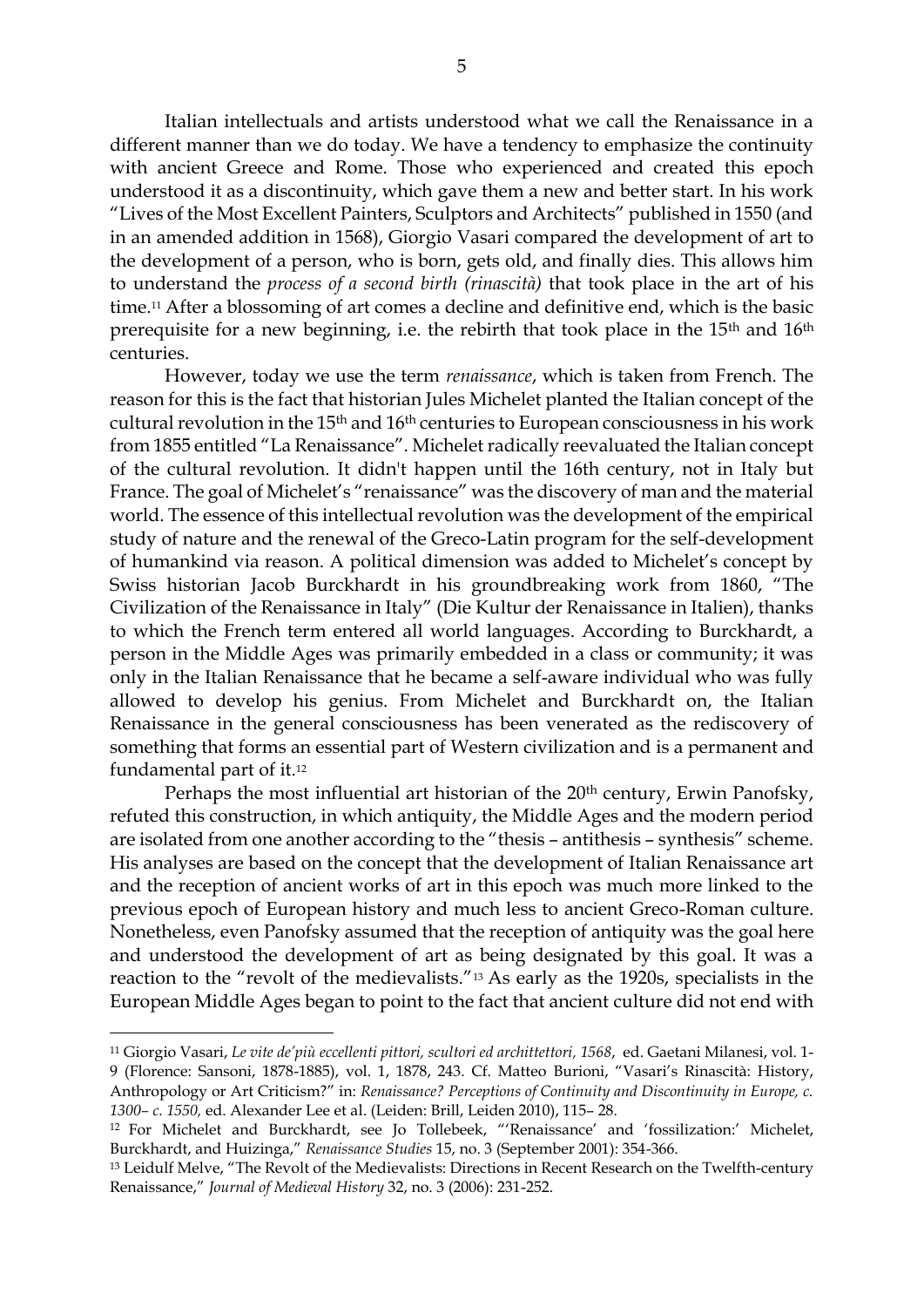Italian intellectuals and artists understood what we call the Renaissance in a different manner than we do today. We have a tendency to emphasize the continuity with ancient Greece and Rome. Those who experienced and created this epoch understood it as a discontinuity, which gave them a new and better start. In his work "Lives of the Most Excellent Painters, Sculptors and Architects" published in 1550 (and in an amended addition in 1568), Giorgio Vasari compared the development of art to the development of a person, who is born, gets old, and finally dies. This allows him to understand the *process of a second birth (rinascità)* that took place in the art of his time.<sup>11</sup> After a blossoming of art comes a decline and definitive end, which is the basic prerequisite for a new beginning, i.e. the rebirth that took place in the 15<sup>th</sup> and 16<sup>th</sup> centuries.

However, today we use the term *renaissance*, which is taken from French. The reason for this is the fact that historian Jules Michelet planted the Italian concept of the cultural revolution in the 15th and 16th centuries to European consciousness in his work from 1855 entitled "La Renaissance". Michelet radically reevaluated the Italian concept of the cultural revolution. It didn't happen until the 16th century, not in Italy but France. The goal of Michelet's "renaissance" was the discovery of man and the material world. The essence of this intellectual revolution was the development of the empirical study of nature and the renewal of the Greco-Latin program for the self-development of humankind via reason. A political dimension was added to Michelet's concept by Swiss historian Jacob Burckhardt in his groundbreaking work from 1860, "The Civilization of the Renaissance in Italy" (Die Kultur der Renaissance in Italien), thanks to which the French term entered all world languages. According to Burckhardt, a person in the Middle Ages was primarily embedded in a class or community; it was only in the Italian Renaissance that he became a self-aware individual who was fully allowed to develop his genius. From Michelet and Burckhardt on, the Italian Renaissance in the general consciousness has been venerated as the rediscovery of something that forms an essential part of Western civilization and is a permanent and fundamental part of it.<sup>12</sup>

Perhaps the most influential art historian of the 20<sup>th</sup> century, Erwin Panofsky, refuted this construction, in which antiquity, the Middle Ages and the modern period are isolated from one another according to the "thesis – antithesis – synthesis" scheme. His analyses are based on the concept that the development of Italian Renaissance art and the reception of ancient works of art in this epoch was much more linked to the previous epoch of European history and much less to ancient Greco-Roman culture. Nonetheless, even Panofsky assumed that the reception of antiquity was the goal here and understood the development of art as being designated by this goal. It was a reaction to the "revolt of the medievalists."<sup>13</sup> As early as the 1920s, specialists in the European Middle Ages began to point to the fact that ancient culture did not end with

<sup>11</sup> Giorgio Vasari, *Le vite de'più eccellenti pittori, scultori ed archittettori, 1568*, ed. Gaetani Milanesi, vol. 1- 9 (Florence: Sansoni, 1878-1885), vol. 1, 1878, 243. Cf. Matteo Burioni, "Vasari's Rinascità: History, Anthropology or Art Criticism?" in: *Renaissance? Perceptions of Continuity and Discontinuity in Europe, c. 1300– c. 1550,* ed. Alexander Lee et al. (Leiden: Brill, Leiden 2010), 115– 28.

<sup>12</sup> For Michelet and Burckhardt, see Jo Tollebeek, "'Renaissance' and 'fossilization:' Michelet, Burckhardt, and Huizinga," *Renaissance Studies* 15, no. 3 (September 2001): 354-366.

<sup>13</sup> Leidulf Melve, "The Revolt of the Medievalists: Directions in Recent Research on the Twelfth-century Renaissance," *Journal of Medieval History* 32, no. 3 (2006): 231-252.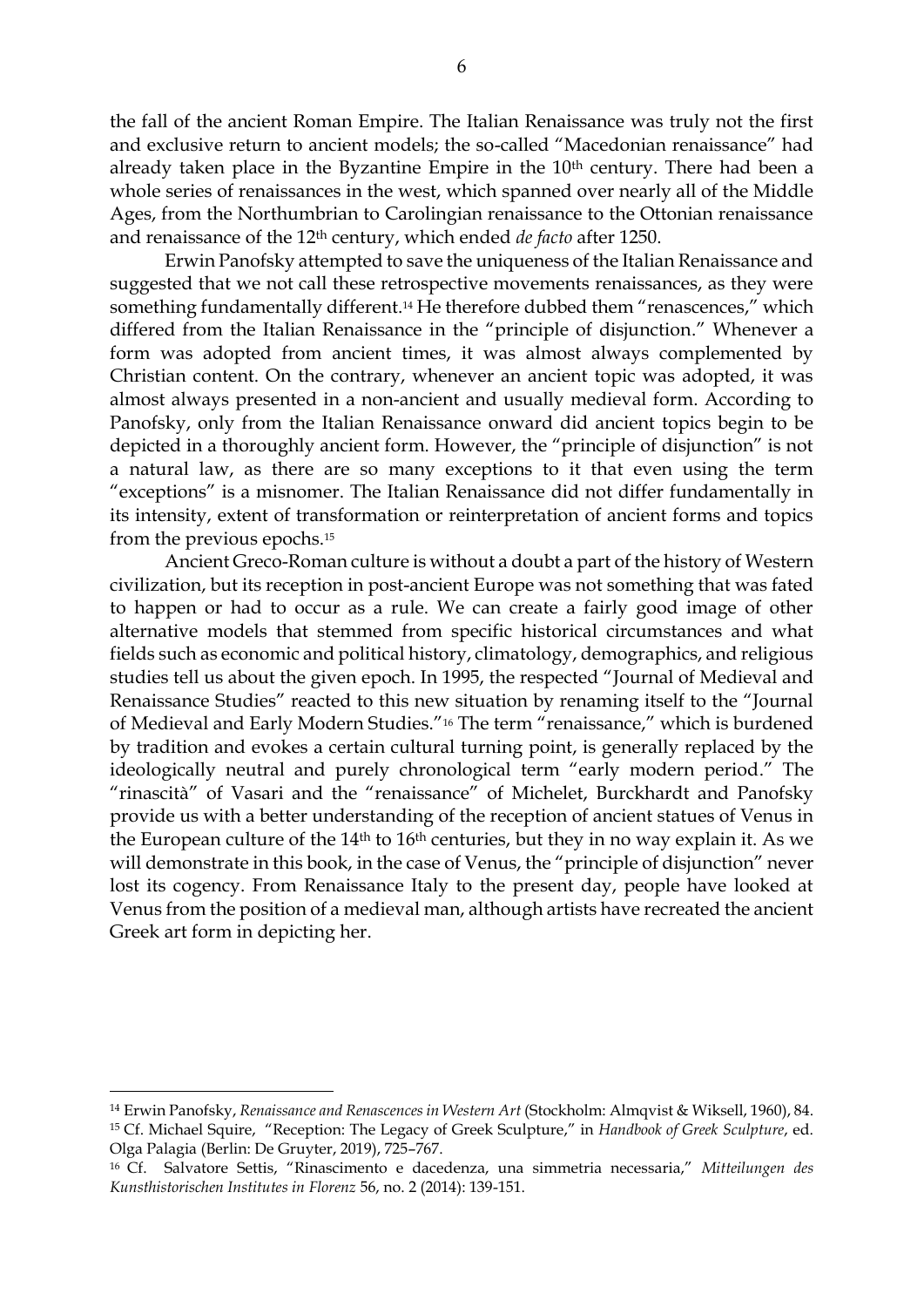the fall of the ancient Roman Empire. The Italian Renaissance was truly not the first and exclusive return to ancient models; the so-called "Macedonian renaissance" had already taken place in the Byzantine Empire in the 10<sup>th</sup> century. There had been a whole series of renaissances in the west, which spanned over nearly all of the Middle Ages, from the Northumbrian to Carolingian renaissance to the Ottonian renaissance and renaissance of the 12th century, which ended *de facto* after 1250.

Erwin Panofsky attempted to save the uniqueness of the Italian Renaissance and suggested that we not call these retrospective movements renaissances, as they were something fundamentally different.<sup>14</sup> He therefore dubbed them "renascences," which differed from the Italian Renaissance in the "principle of disjunction." Whenever a form was adopted from ancient times, it was almost always complemented by Christian content. On the contrary, whenever an ancient topic was adopted, it was almost always presented in a non-ancient and usually medieval form. According to Panofsky, only from the Italian Renaissance onward did ancient topics begin to be depicted in a thoroughly ancient form. However, the "principle of disjunction" is not a natural law, as there are so many exceptions to it that even using the term "exceptions" is a misnomer. The Italian Renaissance did not differ fundamentally in its intensity, extent of transformation or reinterpretation of ancient forms and topics from the previous epochs.<sup>15</sup>

Ancient Greco-Roman culture is without a doubt a part of the history of Western civilization, but its reception in post-ancient Europe was not something that was fated to happen or had to occur as a rule. We can create a fairly good image of other alternative models that stemmed from specific historical circumstances and what fields such as economic and political history, climatology, demographics, and religious studies tell us about the given epoch. In 1995, the respected "Journal of Medieval and Renaissance Studies" reacted to this new situation by renaming itself to the "Journal of Medieval and Early Modern Studies."<sup>16</sup> The term "renaissance," which is burdened by tradition and evokes a certain cultural turning point, is generally replaced by the ideologically neutral and purely chronological term "early modern period." The "rinascità" of Vasari and the "renaissance" of Michelet, Burckhardt and Panofsky provide us with a better understanding of the reception of ancient statues of Venus in the European culture of the  $14<sup>th</sup>$  to  $16<sup>th</sup>$  centuries, but they in no way explain it. As we will demonstrate in this book, in the case of Venus, the "principle of disjunction" never lost its cogency. From Renaissance Italy to the present day, people have looked at Venus from the position of a medieval man, although artists have recreated the ancient Greek art form in depicting her.

<sup>14</sup> Erwin Panofsky, *Renaissance and Renascences in Western Art* (Stockholm: Almqvist & Wiksell, 1960), 84. <sup>15</sup> Cf. Michael Squire, "Reception: The Legacy of Greek Sculpture," in *Handbook of Greek Sculpture*, ed. Olga Palagia (Berlin: De Gruyter, 2019), 725–767.

<sup>16</sup> Cf. Salvatore Settis, "Rinascimento e dacedenza, una simmetria necessaria," *Mitteilungen des Kunsthistorischen Institutes in Florenz* 56, no. 2 (2014): 139-151.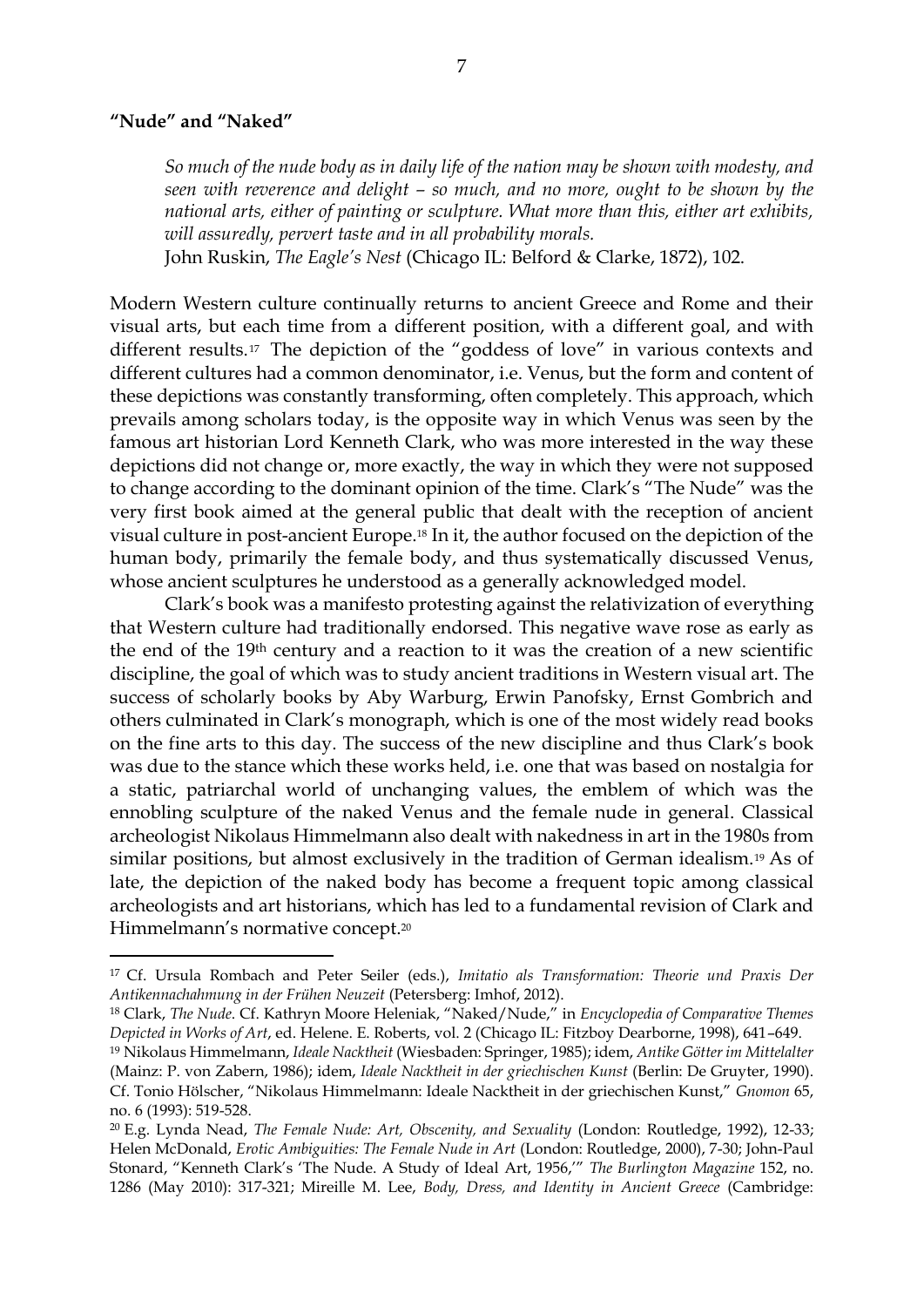## **"Nude" and "Naked"**

*So much of the nude body as in daily life of the nation may be shown with modesty, and seen with reverence and delight – so much, and no more, ought to be shown by the national arts, either of painting or sculpture. What more than this, either art exhibits, will assuredly, pervert taste and in all probability morals.* 

John Ruskin, *The Eagle's Nest* (Chicago IL: Belford & Clarke, 1872), 102.

Modern Western culture continually returns to ancient Greece and Rome and their visual arts, but each time from a different position, with a different goal, and with different results.<sup>17</sup> The depiction of the "goddess of love" in various contexts and different cultures had a common denominator, i.e. Venus, but the form and content of these depictions was constantly transforming, often completely. This approach, which prevails among scholars today, is the opposite way in which Venus was seen by the famous art historian Lord Kenneth Clark, who was more interested in the way these depictions did not change or, more exactly, the way in which they were not supposed to change according to the dominant opinion of the time. Clark's "The Nude" was the very first book aimed at the general public that dealt with the reception of ancient visual culture in post-ancient Europe.<sup>18</sup> In it, the author focused on the depiction of the human body, primarily the female body, and thus systematically discussed Venus, whose ancient sculptures he understood as a generally acknowledged model.

Clark's book was a manifesto protesting against the relativization of everything that Western culture had traditionally endorsed. This negative wave rose as early as the end of the 19th century and a reaction to it was the creation of a new scientific discipline, the goal of which was to study ancient traditions in Western visual art. The success of scholarly books by Aby Warburg, Erwin Panofsky, Ernst Gombrich and others culminated in Clark's monograph, which is one of the most widely read books on the fine arts to this day. The success of the new discipline and thus Clark's book was due to the stance which these works held, i.e. one that was based on nostalgia for a static, patriarchal world of unchanging values, the emblem of which was the ennobling sculpture of the naked Venus and the female nude in general. Classical archeologist Nikolaus Himmelmann also dealt with nakedness in art in the 1980s from similar positions, but almost exclusively in the tradition of German idealism.<sup>19</sup> As of late, the depiction of the naked body has become a frequent topic among classical archeologists and art historians, which has led to a fundamental revision of Clark and Himmelmann's normative concept.<sup>20</sup>

<sup>17</sup> Cf. Ursula Rombach and Peter Seiler (eds.), *Imitatio als Transformation: Theorie und Praxis Der Antikennachahmung in der Frühen Neuzeit* (Petersberg: Imhof, 2012).

<sup>18</sup> Clark, *The Nude*. Cf. Kathryn Moore Heleniak, "Naked/Nude," in *Encyclopedia of Comparative Themes Depicted in Works of Art*, ed. Helene. E. Roberts, vol. 2 (Chicago IL: Fitzboy Dearborne, 1998), 641–649.

<sup>19</sup> Nikolaus Himmelmann, *Ideale Nacktheit* (Wiesbaden: Springer, 1985); idem, *Antike Götter im Mittelalter*  (Mainz: P. von Zabern, 1986); idem, *Ideale Nacktheit in der griechischen Kunst* (Berlin: De Gruyter, 1990). Cf. Tonio Hölscher, "Nikolaus Himmelmann: Ideale Nacktheit in der griechischen Kunst," *Gnomon* 65, no. 6 (1993): 519-528.

<sup>20</sup> E.g. Lynda Nead, *The Female Nude: Art, Obscenity, and Sexuality* (London: Routledge, 1992), 12-33; Helen McDonald, *Erotic Ambiguities: The Female Nude in Art* (London: Routledge, 2000), 7-30; John-Paul Stonard, "Kenneth Clark's 'The Nude. A Study of Ideal Art, 1956,'" *The Burlington Magazine* 152, no. 1286 (May 2010): 317-321; Mireille M. Lee, *Body, Dress, and Identity in Ancient Greece* (Cambridge: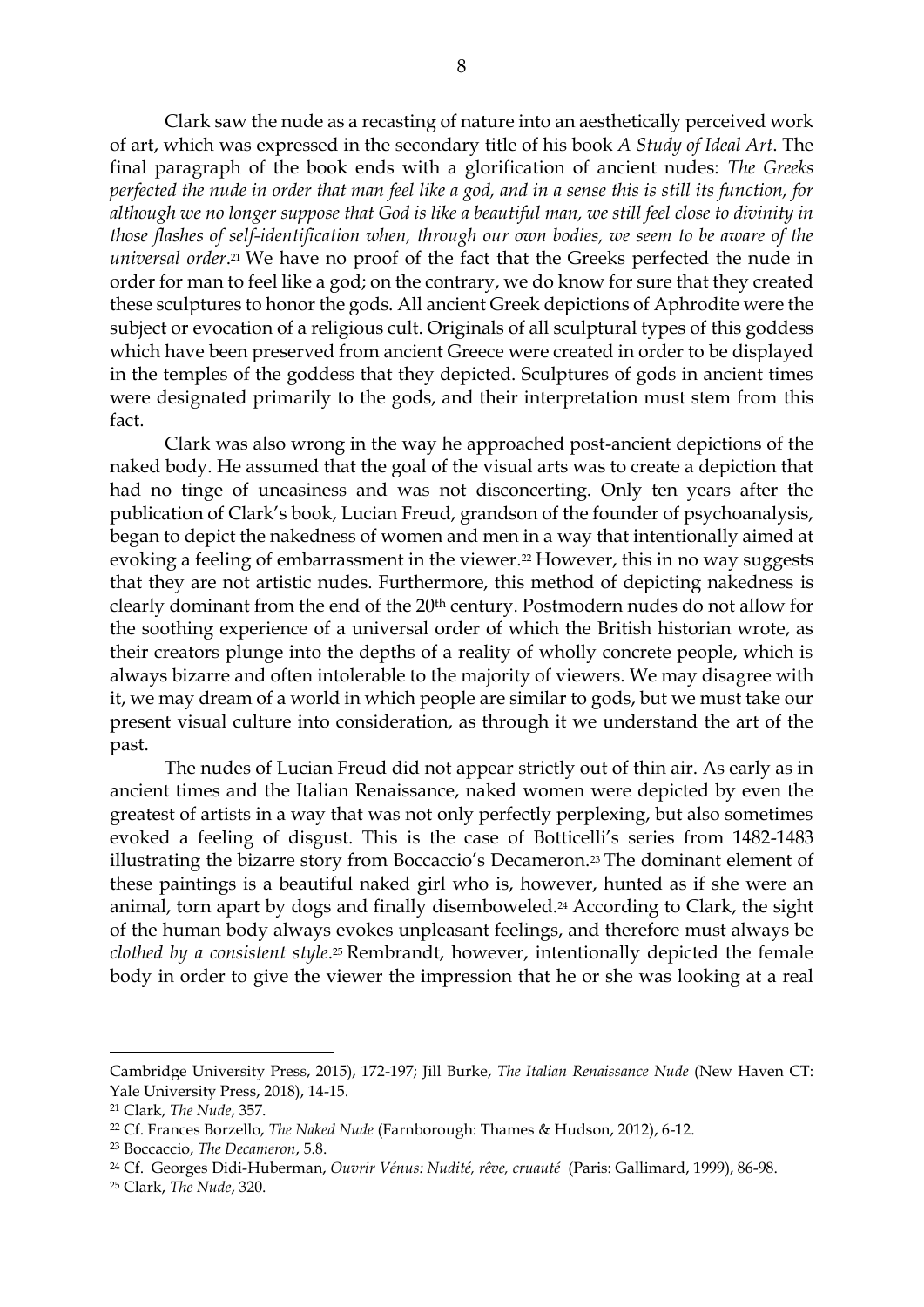Clark saw the nude as a recasting of nature into an aesthetically perceived work of art, which was expressed in the secondary title of his book *A Study of Ideal Art*. The final paragraph of the book ends with a glorification of ancient nudes: *The Greeks perfected the nude in order that man feel like a god, and in a sense this is still its function, for although we no longer suppose that God is like a beautiful man, we still feel close to divinity in those flashes of self-identification when, through our own bodies, we seem to be aware of the universal order*. <sup>21</sup> We have no proof of the fact that the Greeks perfected the nude in order for man to feel like a god; on the contrary, we do know for sure that they created these sculptures to honor the gods. All ancient Greek depictions of Aphrodite were the subject or evocation of a religious cult. Originals of all sculptural types of this goddess which have been preserved from ancient Greece were created in order to be displayed in the temples of the goddess that they depicted. Sculptures of gods in ancient times were designated primarily to the gods, and their interpretation must stem from this fact.

Clark was also wrong in the way he approached post-ancient depictions of the naked body. He assumed that the goal of the visual arts was to create a depiction that had no tinge of uneasiness and was not disconcerting. Only ten years after the publication of Clark's book, Lucian Freud, grandson of the founder of psychoanalysis, began to depict the nakedness of women and men in a way that intentionally aimed at evoking a feeling of embarrassment in the viewer.<sup>22</sup> However, this in no way suggests that they are not artistic nudes. Furthermore, this method of depicting nakedness is clearly dominant from the end of the 20th century. Postmodern nudes do not allow for the soothing experience of a universal order of which the British historian wrote, as their creators plunge into the depths of a reality of wholly concrete people, which is always bizarre and often intolerable to the majority of viewers. We may disagree with it, we may dream of a world in which people are similar to gods, but we must take our present visual culture into consideration, as through it we understand the art of the past.

The nudes of Lucian Freud did not appear strictly out of thin air. As early as in ancient times and the Italian Renaissance, naked women were depicted by even the greatest of artists in a way that was not only perfectly perplexing, but also sometimes evoked a feeling of disgust. This is the case of Botticelli's series from 1482-1483 illustrating the bizarre story from Boccaccio's Decameron.<sup>23</sup> The dominant element of these paintings is a beautiful naked girl who is, however, hunted as if she were an animal, torn apart by dogs and finally disemboweled.<sup>24</sup> According to Clark, the sight of the human body always evokes unpleasant feelings, and therefore must always be *clothed by a consistent style*. <sup>25</sup> Rembrandt, however, intentionally depicted the female body in order to give the viewer the impression that he or she was looking at a real

Cambridge University Press, 2015), 172-197; Jill Burke, *The Italian Renaissance Nude* (New Haven CT: Yale University Press, 2018), 14-15.

<sup>21</sup> Clark, *The Nude*, 357.

<sup>22</sup> Cf. Frances Borzello, *The Naked Nude* (Farnborough: Thames & Hudson, 2012), 6-12.

<sup>23</sup> Boccaccio, *The Decameron*, 5.8.

<sup>24</sup> Cf. Georges Didi-Huberman, *Ouvrir Vénus: Nudité, rêve, cruauté* (Paris: Gallimard, 1999), 86-98.

<sup>25</sup> Clark, *The Nude*, 320.